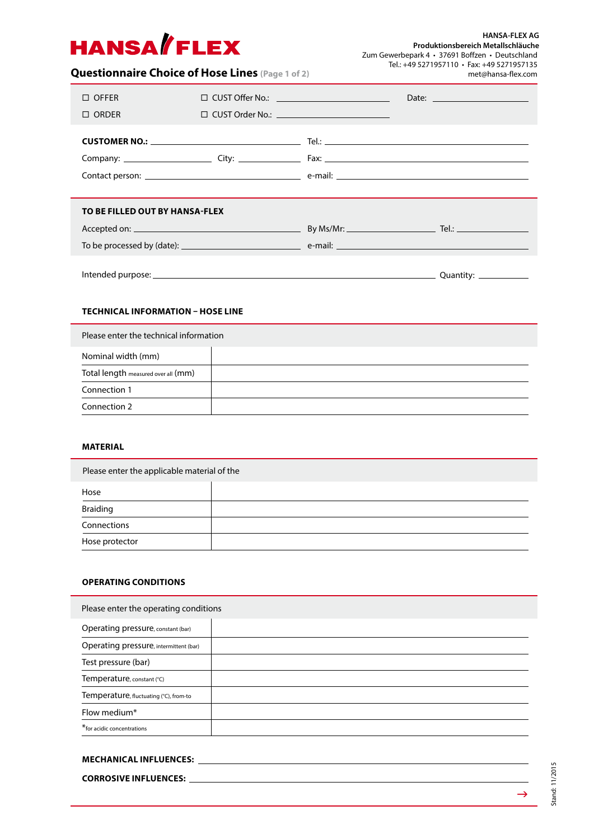# **HANSA/FLEX**

**HANSA-FLEX AG Produktionsbereich Metallschläuche** Zum Gewerbepark 4 • 37691 Boffzen • Deutschland Tel.: +49 5271957110 • Fax: +49 5271957135 met@hansa-flex.com

# **Questionnaire Choice of Hose Lines (Page 1 of 2)**

| $\Box$ OFFER                   | $\Box$ CUST Offer No.: $\qquad \qquad \qquad \qquad \qquad \qquad \qquad \Box$ |  |  |  |  |  |  |
|--------------------------------|--------------------------------------------------------------------------------|--|--|--|--|--|--|
| $\Box$ ORDER                   | $\Box$ CUST Order No.: $\_\_$                                                  |  |  |  |  |  |  |
|                                |                                                                                |  |  |  |  |  |  |
|                                |                                                                                |  |  |  |  |  |  |
| TO BE FILLED OUT BY HANSA-FLEX |                                                                                |  |  |  |  |  |  |
|                                |                                                                                |  |  |  |  |  |  |
|                                |                                                                                |  |  |  |  |  |  |
|                                |                                                                                |  |  |  |  |  |  |

# **TECHNICAL INFORMATION – HOSE LINE**

| Please enter the technical information |  |  |  |  |
|----------------------------------------|--|--|--|--|
| Nominal width (mm)                     |  |  |  |  |
| Total length measured over all (mm)    |  |  |  |  |
| Connection 1                           |  |  |  |  |
| Connection 2                           |  |  |  |  |

# **MATERIAL**

| Please enter the applicable material of the |  |  |  |  |
|---------------------------------------------|--|--|--|--|
| Hose                                        |  |  |  |  |
| <b>Braiding</b>                             |  |  |  |  |
| Connections                                 |  |  |  |  |
| Hose protector                              |  |  |  |  |

# **OPERATING CONDITIONS**

| Please enter the operating conditions  |  |  |  |  |  |
|----------------------------------------|--|--|--|--|--|
| Operating pressure, constant (bar)     |  |  |  |  |  |
| Operating pressure, intermittent (bar) |  |  |  |  |  |
| Test pressure (bar)                    |  |  |  |  |  |
| Temperature, constant (°C)             |  |  |  |  |  |
| Temperature, fluctuating (°C), from-to |  |  |  |  |  |
| Flow medium*                           |  |  |  |  |  |
| *for acidic concentrations             |  |  |  |  |  |

# **MECHANICAL INFLUENCES:**

**CORROSIVE INFLUENCES:**

 $\rightarrow$